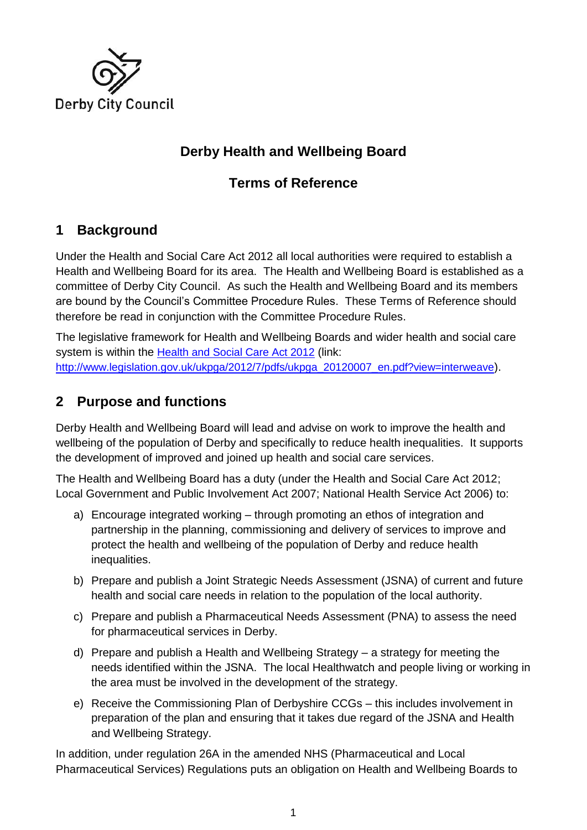

## **Derby Health and Wellbeing Board**

## **Terms of Reference**

## **1 Background**

Under the Health and Social Care Act 2012 all local authorities were required to establish a Health and Wellbeing Board for its area. The Health and Wellbeing Board is established as a committee of Derby City Council. As such the Health and Wellbeing Board and its members are bound by the Council's Committee Procedure Rules. These Terms of Reference should therefore be read in conjunction with the Committee Procedure Rules.

The legislative framework for Health and Wellbeing Boards and wider health and social care system is within the [Health and Social Care Act 2012](http://www.legislation.gov.uk/ukpga/2012/7/pdfs/ukpga_20120007_en.pdf?view=interweave) (link: [http://www.legislation.gov.uk/ukpga/2012/7/pdfs/ukpga\\_20120007\\_en.pdf?view=interweave](http://www.legislation.gov.uk/ukpga/2012/7/pdfs/ukpga_20120007_en.pdf?view=interweave)).

## **2 Purpose and functions**

Derby Health and Wellbeing Board will lead and advise on work to improve the health and wellbeing of the population of Derby and specifically to reduce health inequalities. It supports the development of improved and joined up health and social care services.

The Health and Wellbeing Board has a duty (under the Health and Social Care Act 2012; Local Government and Public Involvement Act 2007; National Health Service Act 2006) to:

- a) Encourage integrated working through promoting an ethos of integration and partnership in the planning, commissioning and delivery of services to improve and protect the health and wellbeing of the population of Derby and reduce health inequalities.
- b) Prepare and publish a Joint Strategic Needs Assessment (JSNA) of current and future health and social care needs in relation to the population of the local authority.
- c) Prepare and publish a Pharmaceutical Needs Assessment (PNA) to assess the need for pharmaceutical services in Derby.
- d) Prepare and publish a Health and Wellbeing Strategy a strategy for meeting the needs identified within the JSNA. The local Healthwatch and people living or working in the area must be involved in the development of the strategy.
- e) Receive the Commissioning Plan of Derbyshire CCGs this includes involvement in preparation of the plan and ensuring that it takes due regard of the JSNA and Health and Wellbeing Strategy.

In addition, under regulation 26A in the amended NHS (Pharmaceutical and Local Pharmaceutical Services) Regulations puts an obligation on Health and Wellbeing Boards to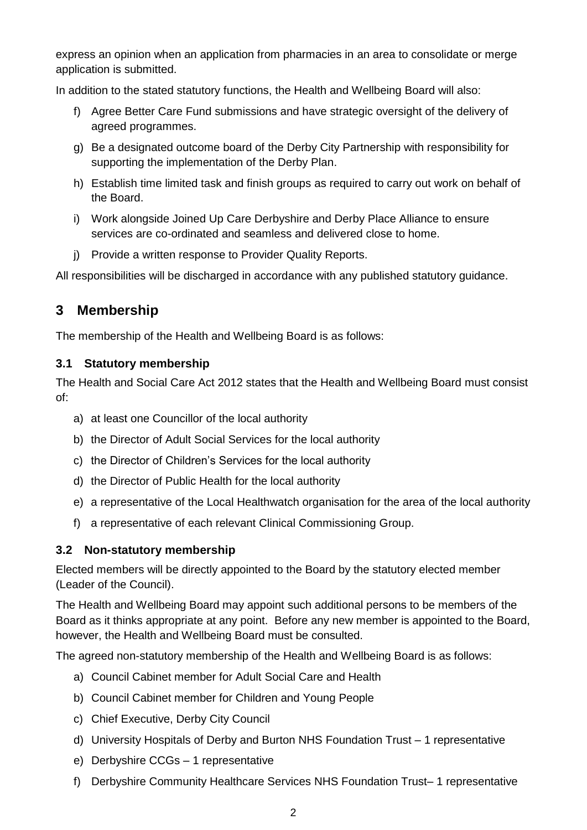express an opinion when an application from pharmacies in an area to consolidate or merge application is submitted.

In addition to the stated statutory functions, the Health and Wellbeing Board will also:

- f) Agree Better Care Fund submissions and have strategic oversight of the delivery of agreed programmes.
- g) Be a designated outcome board of the Derby City Partnership with responsibility for supporting the implementation of the Derby Plan.
- h) Establish time limited task and finish groups as required to carry out work on behalf of the Board.
- i) Work alongside Joined Up Care Derbyshire and Derby Place Alliance to ensure services are co-ordinated and seamless and delivered close to home.
- j) Provide a written response to Provider Quality Reports.

All responsibilities will be discharged in accordance with any published statutory guidance.

## **3 Membership**

The membership of the Health and Wellbeing Board is as follows:

#### **3.1 Statutory membership**

The Health and Social Care Act 2012 states that the Health and Wellbeing Board must consist of:

- a) at least one Councillor of the local authority
- b) the Director of Adult Social Services for the local authority
- c) the Director of Children's Services for the local authority
- d) the Director of Public Health for the local authority
- e) a representative of the Local Healthwatch organisation for the area of the local authority
- f) a representative of each relevant Clinical Commissioning Group.

#### **3.2 Non-statutory membership**

Elected members will be directly appointed to the Board by the statutory elected member (Leader of the Council).

The Health and Wellbeing Board may appoint such additional persons to be members of the Board as it thinks appropriate at any point. Before any new member is appointed to the Board, however, the Health and Wellbeing Board must be consulted.

The agreed non-statutory membership of the Health and Wellbeing Board is as follows:

- a) Council Cabinet member for Adult Social Care and Health
- b) Council Cabinet member for Children and Young People
- c) Chief Executive, Derby City Council
- d) University Hospitals of Derby and Burton NHS Foundation Trust 1 representative
- e) Derbyshire CCGs 1 representative
- f) Derbyshire Community Healthcare Services NHS Foundation Trust– 1 representative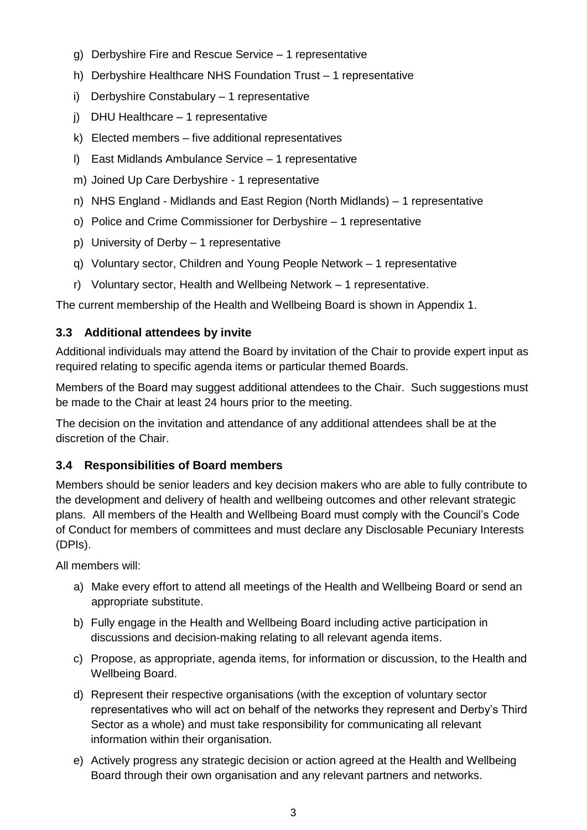- g) Derbyshire Fire and Rescue Service 1 representative
- h) Derbyshire Healthcare NHS Foundation Trust 1 representative
- i) Derbyshire Constabulary 1 representative
- j) DHU Healthcare 1 representative
- k) Elected members five additional representatives
- l) East Midlands Ambulance Service 1 representative
- m) Joined Up Care Derbyshire 1 representative
- n) NHS England Midlands and East Region (North Midlands) 1 representative
- o) Police and Crime Commissioner for Derbyshire 1 representative
- p) University of Derby 1 representative
- q) Voluntary sector, Children and Young People Network 1 representative
- r) Voluntary sector, Health and Wellbeing Network 1 representative.

The current membership of the Health and Wellbeing Board is shown in Appendix 1.

### **3.3 Additional attendees by invite**

Additional individuals may attend the Board by invitation of the Chair to provide expert input as required relating to specific agenda items or particular themed Boards.

Members of the Board may suggest additional attendees to the Chair. Such suggestions must be made to the Chair at least 24 hours prior to the meeting.

The decision on the invitation and attendance of any additional attendees shall be at the discretion of the Chair.

### **3.4 Responsibilities of Board members**

Members should be senior leaders and key decision makers who are able to fully contribute to the development and delivery of health and wellbeing outcomes and other relevant strategic plans. All members of the Health and Wellbeing Board must comply with the Council's Code of Conduct for members of committees and must declare any Disclosable Pecuniary Interests (DPIs).

All members will:

- a) Make every effort to attend all meetings of the Health and Wellbeing Board or send an appropriate substitute.
- b) Fully engage in the Health and Wellbeing Board including active participation in discussions and decision-making relating to all relevant agenda items.
- c) Propose, as appropriate, agenda items, for information or discussion, to the Health and Wellbeing Board.
- d) Represent their respective organisations (with the exception of voluntary sector representatives who will act on behalf of the networks they represent and Derby's Third Sector as a whole) and must take responsibility for communicating all relevant information within their organisation.
- e) Actively progress any strategic decision or action agreed at the Health and Wellbeing Board through their own organisation and any relevant partners and networks.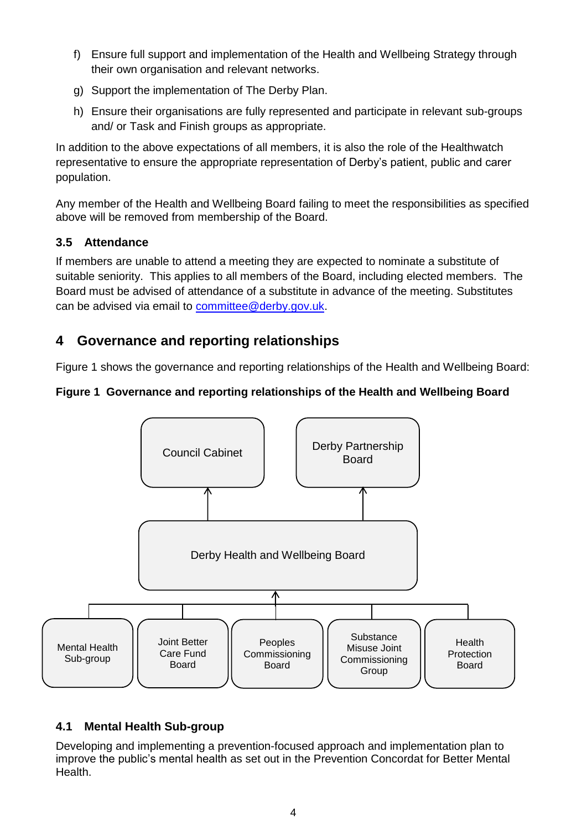- f) Ensure full support and implementation of the Health and Wellbeing Strategy through their own organisation and relevant networks.
- g) Support the implementation of The Derby Plan.
- h) Ensure their organisations are fully represented and participate in relevant sub-groups and/ or Task and Finish groups as appropriate.

In addition to the above expectations of all members, it is also the role of the Healthwatch representative to ensure the appropriate representation of Derby's patient, public and carer population.

Any member of the Health and Wellbeing Board failing to meet the responsibilities as specified above will be removed from membership of the Board.

### **3.5 Attendance**

If members are unable to attend a meeting they are expected to nominate a substitute of suitable seniority. This applies to all members of the Board, including elected members. The Board must be advised of attendance of a substitute in advance of the meeting. Substitutes can be advised via email to [committee@derby.gov.uk.](mailto:committee@derby.gov.uk)

## **4 Governance and reporting relationships**

[Figure 1](#page-3-0) shows the governance and reporting relationships of the Health and Wellbeing Board:

### <span id="page-3-0"></span>**Figure 1 Governance and reporting relationships of the Health and Wellbeing Board**



### **4.1 Mental Health Sub-group**

Developing and implementing a prevention-focused approach and implementation plan to improve the public's mental health as set out in the Prevention Concordat for Better Mental Health.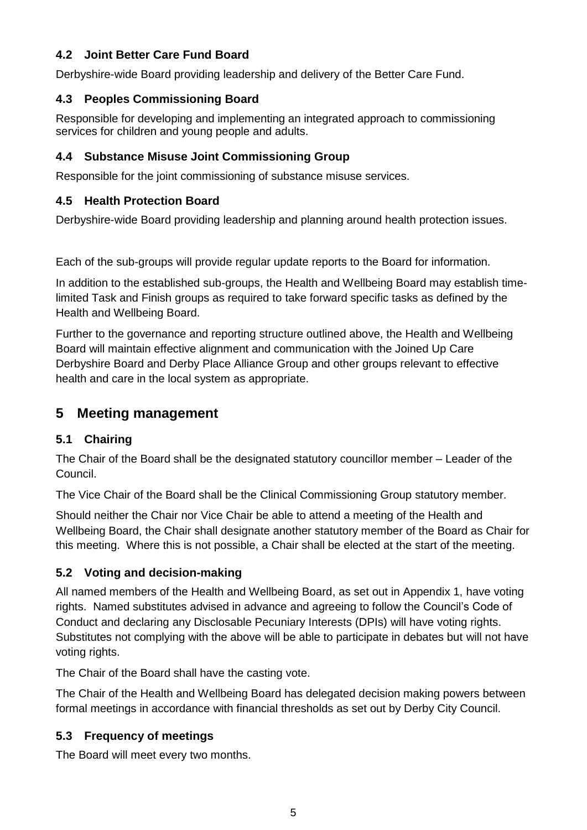### **4.2 Joint Better Care Fund Board**

Derbyshire-wide Board providing leadership and delivery of the Better Care Fund.

#### **4.3 Peoples Commissioning Board**

Responsible for developing and implementing an integrated approach to commissioning services for children and young people and adults.

#### **4.4 Substance Misuse Joint Commissioning Group**

Responsible for the joint commissioning of substance misuse services.

### **4.5 Health Protection Board**

Derbyshire-wide Board providing leadership and planning around health protection issues.

Each of the sub-groups will provide regular update reports to the Board for information.

In addition to the established sub-groups, the Health and Wellbeing Board may establish timelimited Task and Finish groups as required to take forward specific tasks as defined by the Health and Wellbeing Board.

Further to the governance and reporting structure outlined above, the Health and Wellbeing Board will maintain effective alignment and communication with the Joined Up Care Derbyshire Board and Derby Place Alliance Group and other groups relevant to effective health and care in the local system as appropriate.

## **5 Meeting management**

### **5.1 Chairing**

The Chair of the Board shall be the designated statutory councillor member – Leader of the Council.

The Vice Chair of the Board shall be the Clinical Commissioning Group statutory member.

Should neither the Chair nor Vice Chair be able to attend a meeting of the Health and Wellbeing Board, the Chair shall designate another statutory member of the Board as Chair for this meeting. Where this is not possible, a Chair shall be elected at the start of the meeting.

#### **5.2 Voting and decision-making**

All named members of the Health and Wellbeing Board, as set out in Appendix 1, have voting rights. Named substitutes advised in advance and agreeing to follow the Council's Code of Conduct and declaring any Disclosable Pecuniary Interests (DPIs) will have voting rights. Substitutes not complying with the above will be able to participate in debates but will not have voting rights.

The Chair of the Board shall have the casting vote.

The Chair of the Health and Wellbeing Board has delegated decision making powers between formal meetings in accordance with financial thresholds as set out by Derby City Council.

### **5.3 Frequency of meetings**

The Board will meet every two months.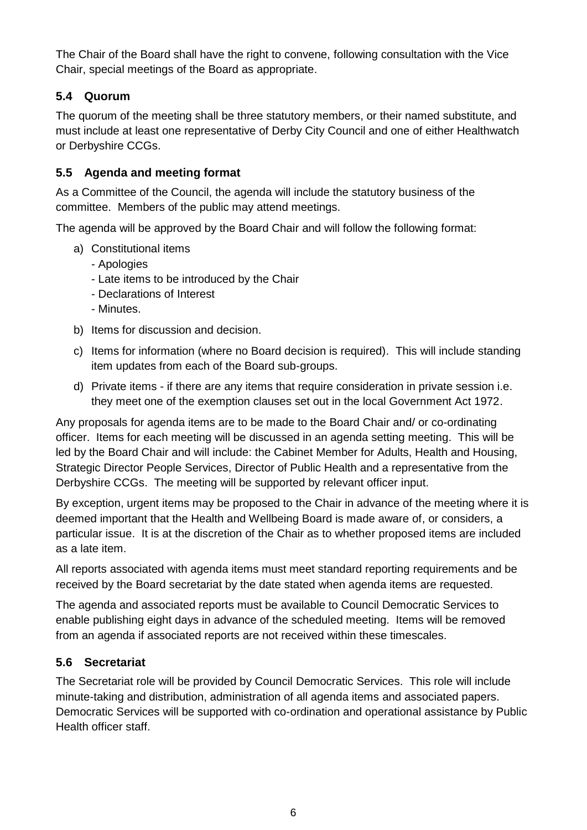The Chair of the Board shall have the right to convene, following consultation with the Vice Chair, special meetings of the Board as appropriate.

### **5.4 Quorum**

The quorum of the meeting shall be three statutory members, or their named substitute, and must include at least one representative of Derby City Council and one of either Healthwatch or Derbyshire CCGs.

### **5.5 Agenda and meeting format**

As a Committee of the Council, the agenda will include the statutory business of the committee. Members of the public may attend meetings.

The agenda will be approved by the Board Chair and will follow the following format:

- a) Constitutional items
	- Apologies
	- Late items to be introduced by the Chair
	- Declarations of Interest
	- Minutes.
- b) Items for discussion and decision.
- c) Items for information (where no Board decision is required). This will include standing item updates from each of the Board sub-groups.
- d) Private items if there are any items that require consideration in private session i.e. they meet one of the exemption clauses set out in the local Government Act 1972.

Any proposals for agenda items are to be made to the Board Chair and/ or co-ordinating officer. Items for each meeting will be discussed in an agenda setting meeting. This will be led by the Board Chair and will include: the Cabinet Member for Adults, Health and Housing, Strategic Director People Services, Director of Public Health and a representative from the Derbyshire CCGs. The meeting will be supported by relevant officer input.

By exception, urgent items may be proposed to the Chair in advance of the meeting where it is deemed important that the Health and Wellbeing Board is made aware of, or considers, a particular issue. It is at the discretion of the Chair as to whether proposed items are included as a late item.

All reports associated with agenda items must meet standard reporting requirements and be received by the Board secretariat by the date stated when agenda items are requested.

The agenda and associated reports must be available to Council Democratic Services to enable publishing eight days in advance of the scheduled meeting. Items will be removed from an agenda if associated reports are not received within these timescales.

### **5.6 Secretariat**

The Secretariat role will be provided by Council Democratic Services. This role will include minute-taking and distribution, administration of all agenda items and associated papers. Democratic Services will be supported with co-ordination and operational assistance by Public Health officer staff.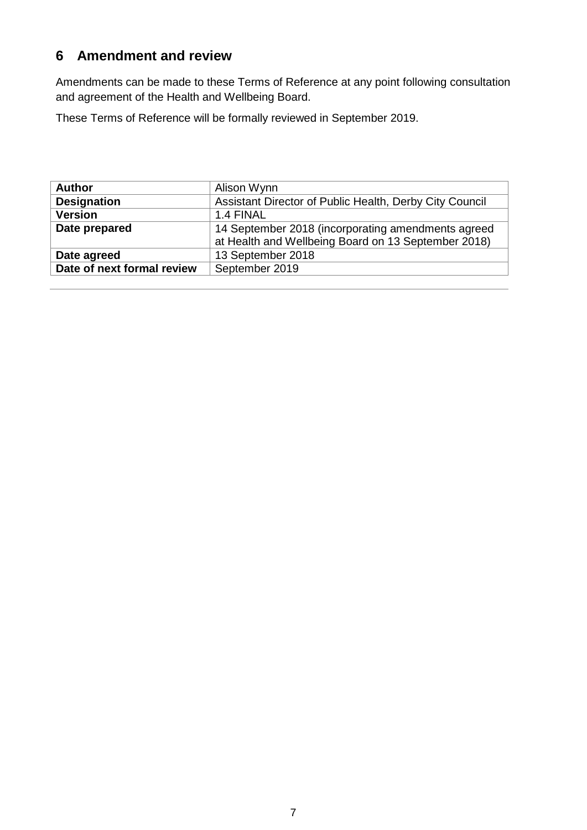## **6 Amendment and review**

Amendments can be made to these Terms of Reference at any point following consultation and agreement of the Health and Wellbeing Board.

These Terms of Reference will be formally reviewed in September 2019.

| <b>Author</b>              | Alison Wynn                                             |
|----------------------------|---------------------------------------------------------|
| <b>Designation</b>         | Assistant Director of Public Health, Derby City Council |
| <b>Version</b>             | 1.4 FINAL                                               |
| Date prepared              | 14 September 2018 (incorporating amendments agreed      |
|                            | at Health and Wellbeing Board on 13 September 2018)     |
| Date agreed                | 13 September 2018                                       |
| Date of next formal review | September 2019                                          |
|                            |                                                         |